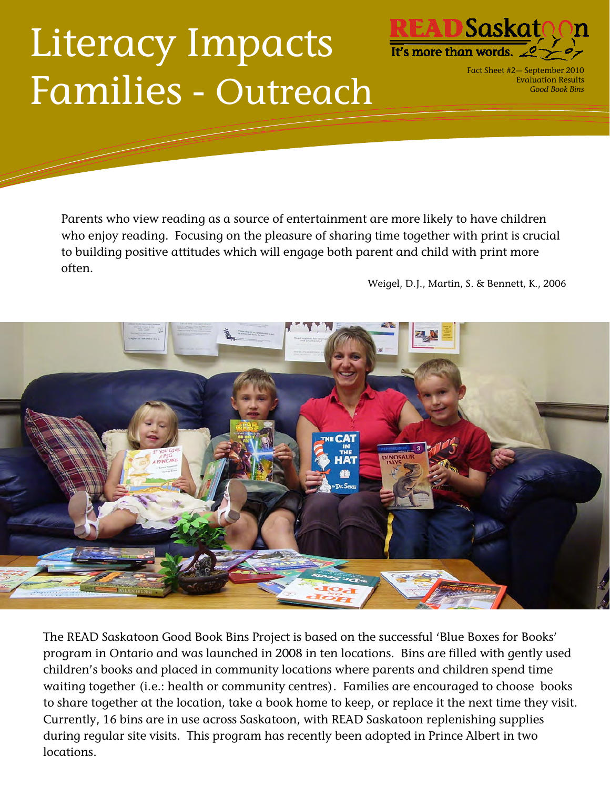## Literacy Impacts Families - Outreach



Fact Sheet #2— September 2010 Evaluation Results *Good Book Bins* 

Parents who view reading as a source of entertainment are more likely to have children who enjoy reading. Focusing on the pleasure of sharing time together with print is crucial to building positive attitudes which will engage both parent and child with print more often.

Weigel, D.J., Martin, S. & Bennett, K., 2006



The READ Saskatoon Good Book Bins Project is based on the successful 'Blue Boxes for Books' program in Ontario and was launched in 2008 in ten locations. Bins are filled with gently used children's books and placed in community locations where parents and children spend time waiting together (i.e.: health or community centres). Families are encouraged to choose books to share together at the location, take a book home to keep, or replace it the next time they visit. Currently, 16 bins are in use across Saskatoon, with READ Saskatoon replenishing supplies during regular site visits. This program has recently been adopted in Prince Albert in two locations.